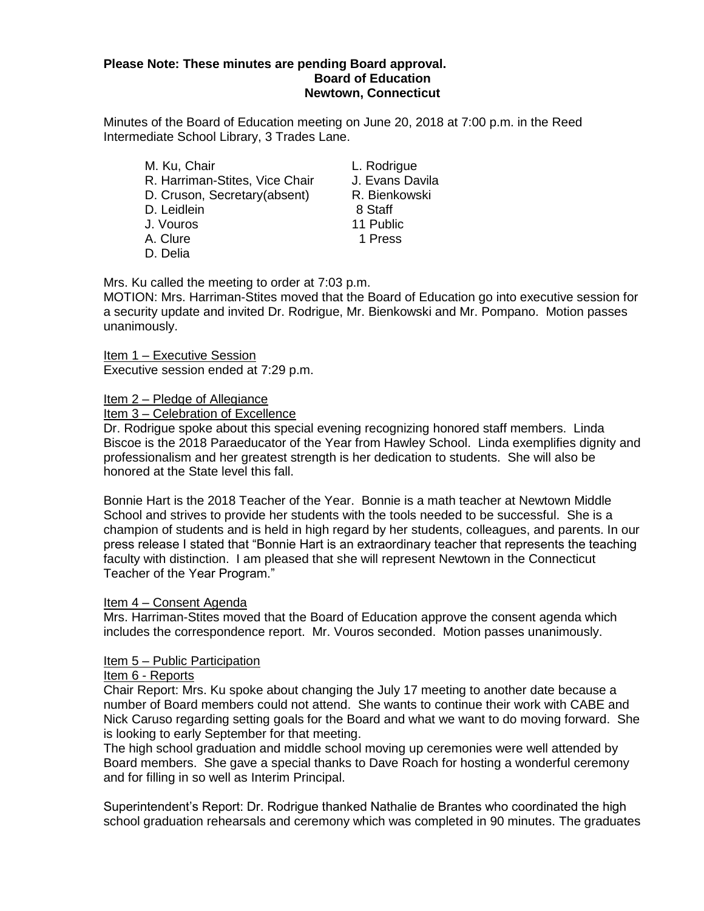#### **Please Note: These minutes are pending Board approval. Board of Education Newtown, Connecticut**

Minutes of the Board of Education meeting on June 20, 2018 at 7:00 p.m. in the Reed Intermediate School Library, 3 Trades Lane.

M. Ku, Chair **L. Rodrigue** R. Harriman-Stites, Vice Chair J. Evans Davila D. Cruson, Secretary(absent) R. Bienkowski D. Leidlein 6 November 2015 8 Staff 8 Staff 11 Public J. Vouros A. Clure 2012 1 Press D. Delia

Mrs. Ku called the meeting to order at 7:03 p.m.

MOTION: Mrs. Harriman-Stites moved that the Board of Education go into executive session for a security update and invited Dr. Rodrigue, Mr. Bienkowski and Mr. Pompano. Motion passes unanimously.

Item 1 – Executive Session Executive session ended at 7:29 p.m.

Item 2 – Pledge of Allegiance

Item 3 – Celebration of Excellence

Dr. Rodrigue spoke about this special evening recognizing honored staff members. Linda Biscoe is the 2018 Paraeducator of the Year from Hawley School. Linda exemplifies dignity and professionalism and her greatest strength is her dedication to students. She will also be honored at the State level this fall.

Bonnie Hart is the 2018 Teacher of the Year. Bonnie is a math teacher at Newtown Middle School and strives to provide her students with the tools needed to be successful. She is a champion of students and is held in high regard by her students, colleagues, and parents. In our press release I stated that "Bonnie Hart is an extraordinary teacher that represents the teaching faculty with distinction. I am pleased that she will represent Newtown in the Connecticut Teacher of the Year Program."

## Item 4 – Consent Agenda

Mrs. Harriman-Stites moved that the Board of Education approve the consent agenda which includes the correspondence report. Mr. Vouros seconded. Motion passes unanimously.

# Item 5 - Public Participation

# Item 6 - Reports

Chair Report: Mrs. Ku spoke about changing the July 17 meeting to another date because a number of Board members could not attend. She wants to continue their work with CABE and Nick Caruso regarding setting goals for the Board and what we want to do moving forward. She is looking to early September for that meeting.

The high school graduation and middle school moving up ceremonies were well attended by Board members. She gave a special thanks to Dave Roach for hosting a wonderful ceremony and for filling in so well as Interim Principal.

Superintendent's Report: Dr. Rodrigue thanked Nathalie de Brantes who coordinated the high school graduation rehearsals and ceremony which was completed in 90 minutes. The graduates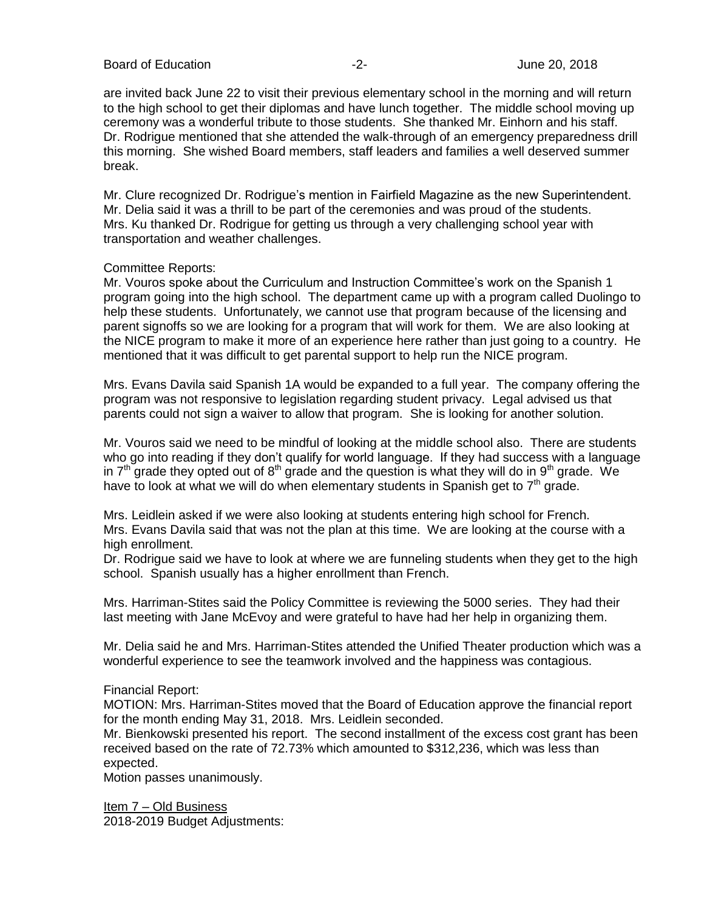are invited back June 22 to visit their previous elementary school in the morning and will return to the high school to get their diplomas and have lunch together. The middle school moving up ceremony was a wonderful tribute to those students. She thanked Mr. Einhorn and his staff. Dr. Rodrigue mentioned that she attended the walk-through of an emergency preparedness drill this morning. She wished Board members, staff leaders and families a well deserved summer break.

Mr. Clure recognized Dr. Rodrigue's mention in Fairfield Magazine as the new Superintendent. Mr. Delia said it was a thrill to be part of the ceremonies and was proud of the students. Mrs. Ku thanked Dr. Rodrigue for getting us through a very challenging school year with transportation and weather challenges.

## Committee Reports:

Mr. Vouros spoke about the Curriculum and Instruction Committee's work on the Spanish 1 program going into the high school. The department came up with a program called Duolingo to help these students. Unfortunately, we cannot use that program because of the licensing and parent signoffs so we are looking for a program that will work for them. We are also looking at the NICE program to make it more of an experience here rather than just going to a country. He mentioned that it was difficult to get parental support to help run the NICE program.

Mrs. Evans Davila said Spanish 1A would be expanded to a full year. The company offering the program was not responsive to legislation regarding student privacy. Legal advised us that parents could not sign a waiver to allow that program. She is looking for another solution.

Mr. Vouros said we need to be mindful of looking at the middle school also. There are students who go into reading if they don't qualify for world language. If they had success with a language in  $7<sup>th</sup>$  grade they opted out of  $8<sup>th</sup>$  grade and the question is what they will do in  $9<sup>th</sup>$  grade. We have to look at what we will do when elementary students in Spanish get to  $7<sup>th</sup>$  grade.

Mrs. Leidlein asked if we were also looking at students entering high school for French. Mrs. Evans Davila said that was not the plan at this time. We are looking at the course with a high enrollment.

Dr. Rodrigue said we have to look at where we are funneling students when they get to the high school. Spanish usually has a higher enrollment than French.

Mrs. Harriman-Stites said the Policy Committee is reviewing the 5000 series. They had their last meeting with Jane McEvoy and were grateful to have had her help in organizing them.

Mr. Delia said he and Mrs. Harriman-Stites attended the Unified Theater production which was a wonderful experience to see the teamwork involved and the happiness was contagious.

## Financial Report:

MOTION: Mrs. Harriman-Stites moved that the Board of Education approve the financial report for the month ending May 31, 2018. Mrs. Leidlein seconded.

Mr. Bienkowski presented his report. The second installment of the excess cost grant has been received based on the rate of 72.73% which amounted to \$312,236, which was less than expected.

Motion passes unanimously.

Item 7 – Old Business 2018-2019 Budget Adjustments: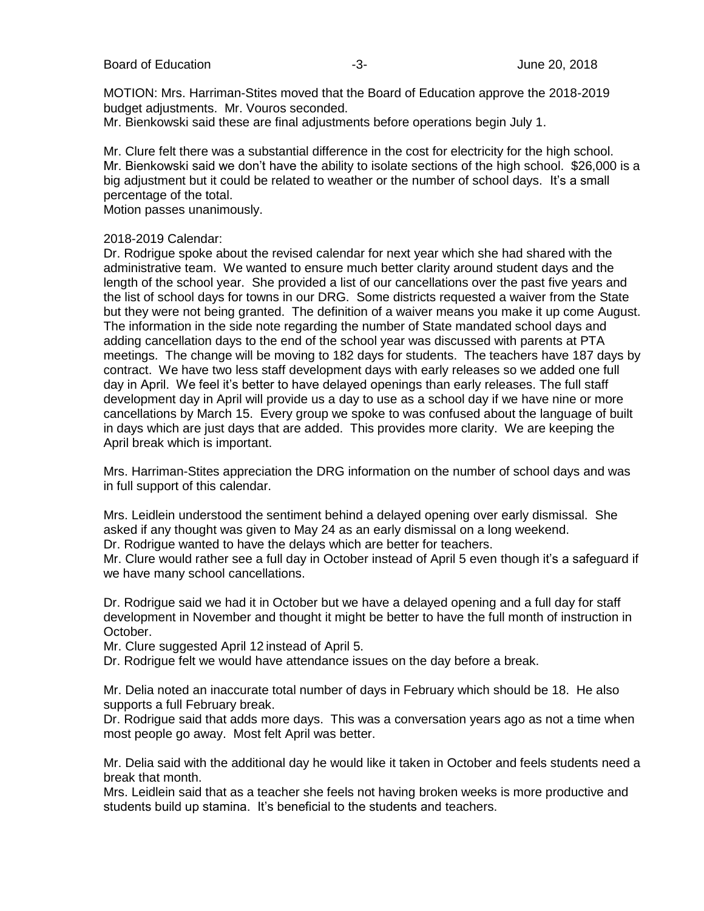MOTION: Mrs. Harriman-Stites moved that the Board of Education approve the 2018-2019 budget adjustments. Mr. Vouros seconded.

Mr. Bienkowski said these are final adjustments before operations begin July 1.

Mr. Clure felt there was a substantial difference in the cost for electricity for the high school. Mr. Bienkowski said we don't have the ability to isolate sections of the high school. \$26,000 is a big adjustment but it could be related to weather or the number of school days. It's a small percentage of the total.

Motion passes unanimously.

#### 2018-2019 Calendar:

Dr. Rodrigue spoke about the revised calendar for next year which she had shared with the administrative team. We wanted to ensure much better clarity around student days and the length of the school year. She provided a list of our cancellations over the past five years and the list of school days for towns in our DRG. Some districts requested a waiver from the State but they were not being granted. The definition of a waiver means you make it up come August. The information in the side note regarding the number of State mandated school days and adding cancellation days to the end of the school year was discussed with parents at PTA meetings. The change will be moving to 182 days for students. The teachers have 187 days by contract. We have two less staff development days with early releases so we added one full day in April. We feel it's better to have delayed openings than early releases. The full staff development day in April will provide us a day to use as a school day if we have nine or more cancellations by March 15. Every group we spoke to was confused about the language of built in days which are just days that are added. This provides more clarity. We are keeping the April break which is important.

Mrs. Harriman-Stites appreciation the DRG information on the number of school days and was in full support of this calendar.

Mrs. Leidlein understood the sentiment behind a delayed opening over early dismissal. She asked if any thought was given to May 24 as an early dismissal on a long weekend. Dr. Rodrigue wanted to have the delays which are better for teachers.

Mr. Clure would rather see a full day in October instead of April 5 even though it's a safeguard if we have many school cancellations.

Dr. Rodrigue said we had it in October but we have a delayed opening and a full day for staff development in November and thought it might be better to have the full month of instruction in October.

Mr. Clure suggested April 12 instead of April 5.

Dr. Rodrigue felt we would have attendance issues on the day before a break.

Mr. Delia noted an inaccurate total number of days in February which should be 18. He also supports a full February break.

Dr. Rodrigue said that adds more days. This was a conversation years ago as not a time when most people go away. Most felt April was better.

Mr. Delia said with the additional day he would like it taken in October and feels students need a break that month.

Mrs. Leidlein said that as a teacher she feels not having broken weeks is more productive and students build up stamina. It's beneficial to the students and teachers.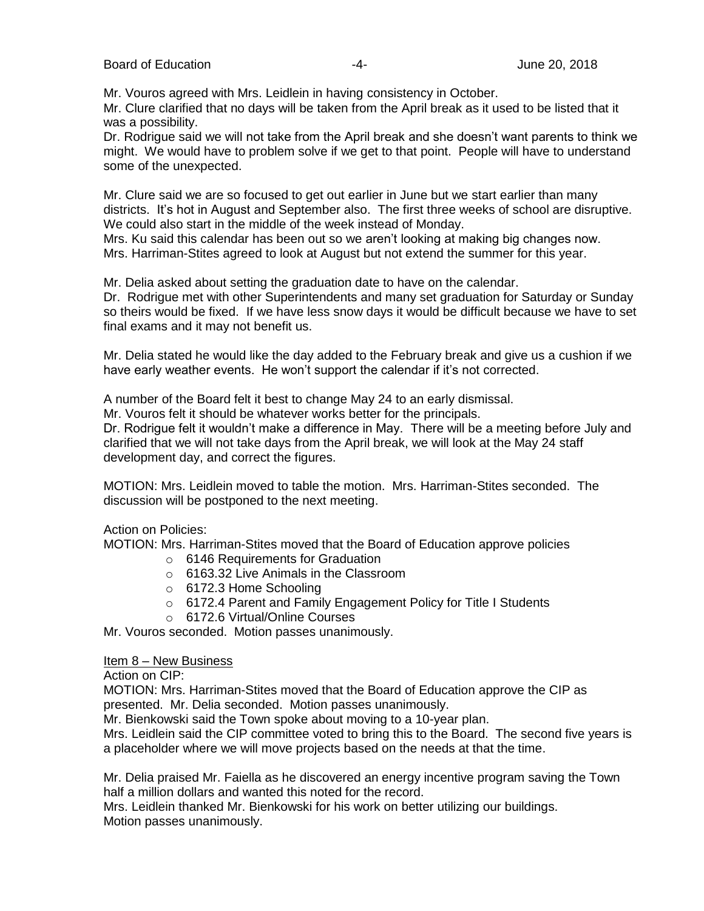Mr. Vouros agreed with Mrs. Leidlein in having consistency in October.

Mr. Clure clarified that no days will be taken from the April break as it used to be listed that it was a possibility.

Dr. Rodrigue said we will not take from the April break and she doesn't want parents to think we might. We would have to problem solve if we get to that point. People will have to understand some of the unexpected.

Mr. Clure said we are so focused to get out earlier in June but we start earlier than many districts. It's hot in August and September also. The first three weeks of school are disruptive. We could also start in the middle of the week instead of Monday.

Mrs. Ku said this calendar has been out so we aren't looking at making big changes now. Mrs. Harriman-Stites agreed to look at August but not extend the summer for this year.

Mr. Delia asked about setting the graduation date to have on the calendar.

Dr. Rodrigue met with other Superintendents and many set graduation for Saturday or Sunday so theirs would be fixed. If we have less snow days it would be difficult because we have to set final exams and it may not benefit us.

Mr. Delia stated he would like the day added to the February break and give us a cushion if we have early weather events. He won't support the calendar if it's not corrected.

A number of the Board felt it best to change May 24 to an early dismissal.

Mr. Vouros felt it should be whatever works better for the principals.

Dr. Rodrigue felt it wouldn't make a difference in May. There will be a meeting before July and clarified that we will not take days from the April break, we will look at the May 24 staff development day, and correct the figures.

MOTION: Mrs. Leidlein moved to table the motion. Mrs. Harriman-Stites seconded. The discussion will be postponed to the next meeting.

Action on Policies:

MOTION: Mrs. Harriman-Stites moved that the Board of Education approve policies

- o 6146 Requirements for Graduation
- o 6163.32 Live Animals in the Classroom
- o 6172.3 Home Schooling
- o 6172.4 Parent and Family Engagement Policy for Title I Students
- o 6172.6 Virtual/Online Courses

Mr. Vouros seconded. Motion passes unanimously.

## Item 8 – New Business

Action on CIP:

MOTION: Mrs. Harriman-Stites moved that the Board of Education approve the CIP as presented. Mr. Delia seconded. Motion passes unanimously.

Mr. Bienkowski said the Town spoke about moving to a 10-year plan.

Mrs. Leidlein said the CIP committee voted to bring this to the Board. The second five years is a placeholder where we will move projects based on the needs at that the time.

Mr. Delia praised Mr. Faiella as he discovered an energy incentive program saving the Town half a million dollars and wanted this noted for the record.

Mrs. Leidlein thanked Mr. Bienkowski for his work on better utilizing our buildings. Motion passes unanimously.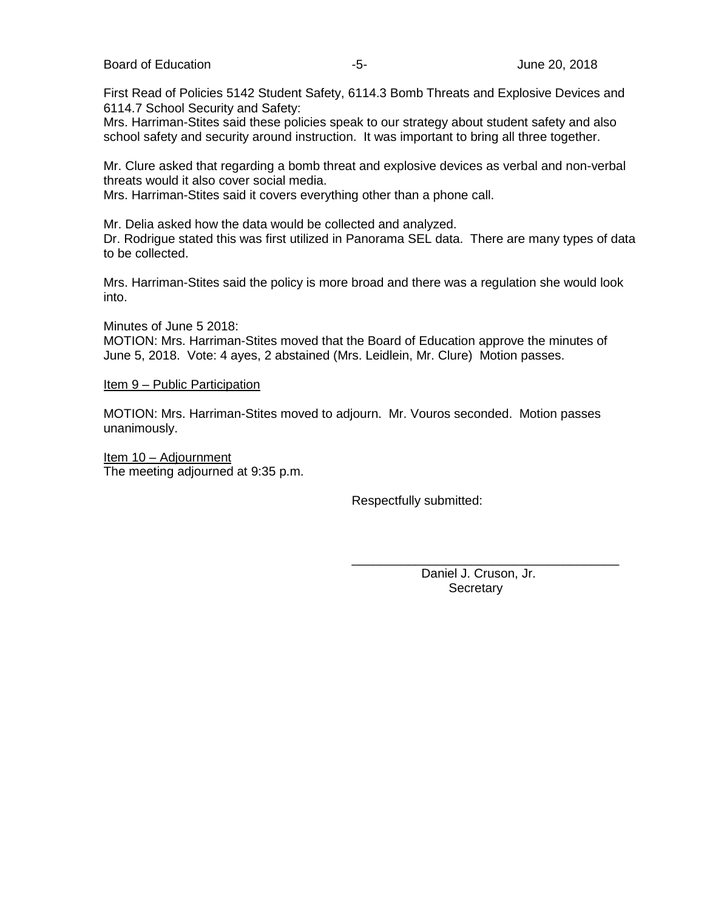Board of Education **Contract Contract Contract Contract Contract Contract Contract Contract Contract Contract Contract Contract Contract Contract Contract Contract Contract Contract Contract Contract Contract Contract Cont** 

First Read of Policies 5142 Student Safety, 6114.3 Bomb Threats and Explosive Devices and 6114.7 School Security and Safety:

Mrs. Harriman-Stites said these policies speak to our strategy about student safety and also school safety and security around instruction. It was important to bring all three together.

Mr. Clure asked that regarding a bomb threat and explosive devices as verbal and non-verbal threats would it also cover social media.

Mrs. Harriman-Stites said it covers everything other than a phone call.

Mr. Delia asked how the data would be collected and analyzed.

Dr. Rodrigue stated this was first utilized in Panorama SEL data. There are many types of data to be collected.

Mrs. Harriman-Stites said the policy is more broad and there was a regulation she would look into.

Minutes of June 5 2018:

MOTION: Mrs. Harriman-Stites moved that the Board of Education approve the minutes of June 5, 2018. Vote: 4 ayes, 2 abstained (Mrs. Leidlein, Mr. Clure) Motion passes.

#### Item 9 – Public Participation

MOTION: Mrs. Harriman-Stites moved to adjourn. Mr. Vouros seconded. Motion passes unanimously.

Item 10 – Adjournment The meeting adjourned at 9:35 p.m.

Respectfully submitted:

 Daniel J. Cruson, Jr. **Secretary** 

\_\_\_\_\_\_\_\_\_\_\_\_\_\_\_\_\_\_\_\_\_\_\_\_\_\_\_\_\_\_\_\_\_\_\_\_\_\_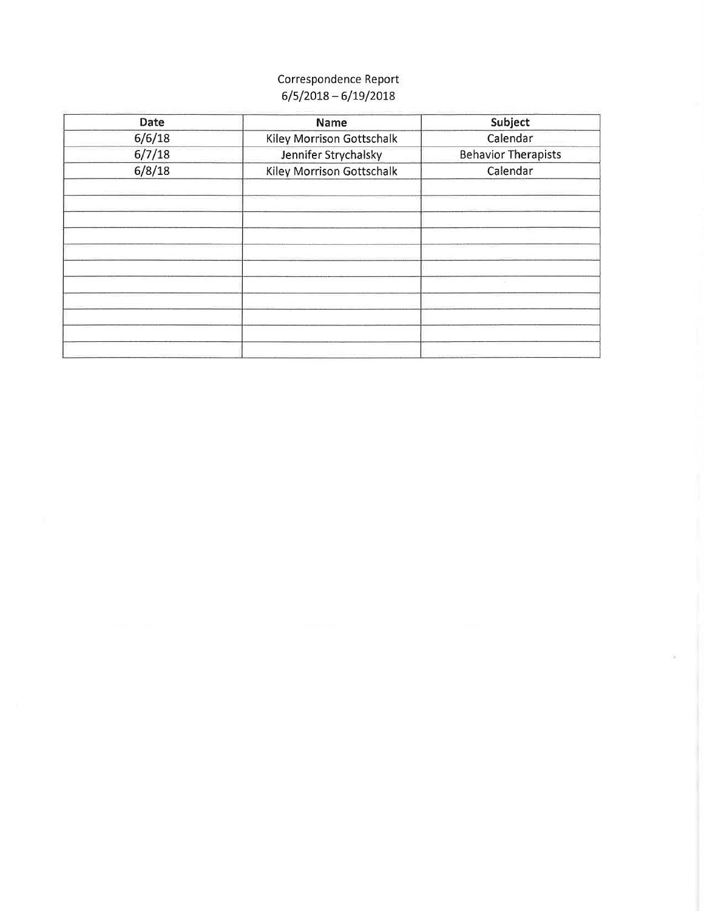# Correspondence Report  $6/5/2018 - 6/19/2018$

| <b>Date</b> | <b>Name</b>               | Subject                    |
|-------------|---------------------------|----------------------------|
| 6/6/18      | Kiley Morrison Gottschalk | Calendar                   |
| 6/7/18      | Jennifer Strychalsky      | <b>Behavior Therapists</b> |
| 6/8/18      | Kiley Morrison Gottschalk | Calendar                   |
|             |                           |                            |
|             |                           |                            |
|             |                           |                            |
|             |                           |                            |
|             |                           |                            |
|             |                           |                            |
|             |                           |                            |
|             |                           |                            |
|             |                           |                            |
|             |                           |                            |
|             |                           |                            |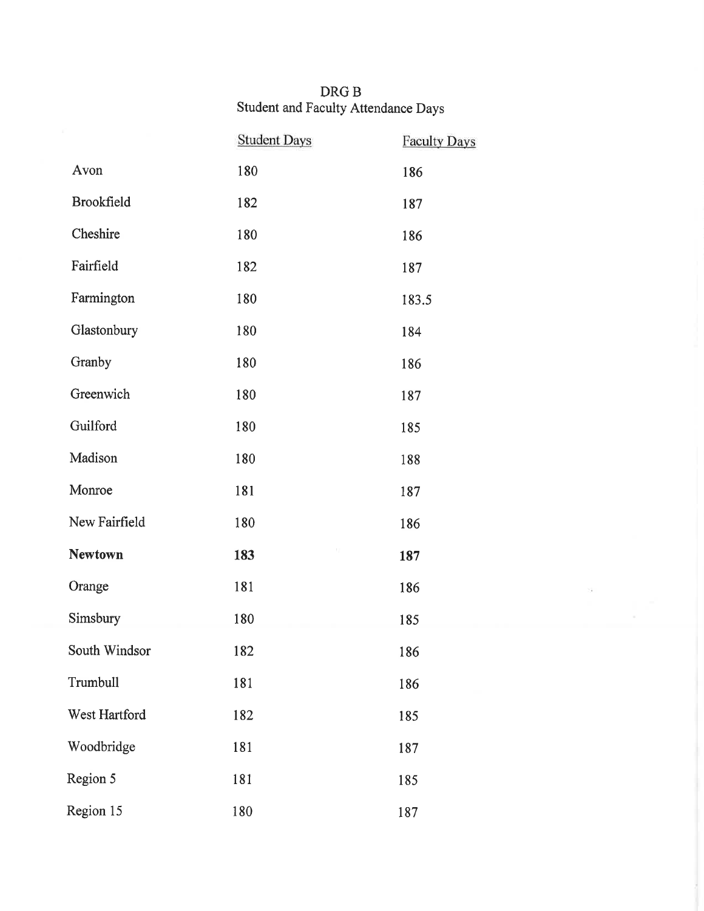# DRG B<br>Student and Faculty Attendance Days

|                   | <b>Student Days</b> | <b>Faculty Days</b> |
|-------------------|---------------------|---------------------|
| Avon              | 180                 | 186                 |
| <b>Brookfield</b> | 182                 | 187                 |
| Cheshire          | 180                 | 186                 |
| Fairfield         | 182                 | 187                 |
| Farmington        | 180                 | 183.5               |
| Glastonbury       | 180                 | 184                 |
| Granby            | 180                 | 186                 |
| Greenwich         | 180                 | 187                 |
| Guilford          | 180                 | 185                 |
| Madison           | 180                 | 188                 |
| Monroe            | 181                 | 187                 |
| New Fairfield     | 180                 | 186                 |
| <b>Newtown</b>    | 183                 | 187                 |
| Orange            | 181                 | 186                 |
| Simsbury          | 180                 | 185                 |
| South Windsor     | 182                 | 186                 |
| Trumbull          | 181                 | 186                 |
| West Hartford     | 182                 | 185                 |
| Woodbridge        | 181                 | 187                 |
| Region 5          | 181                 | 185                 |
| Region 15         | 180                 | 187                 |

 $\tilde{\mathcal{A}}$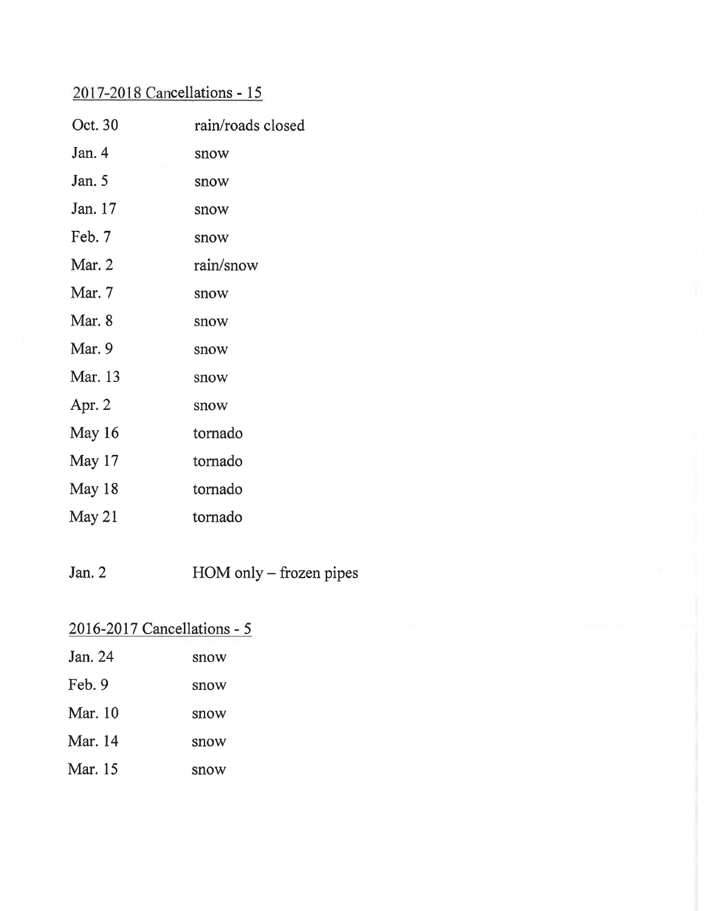# 2017-2018 Cancellations - 15

| Oct. 30 | rain/roads closed |
|---------|-------------------|
| Jan. 4  | snow              |
| Jan. 5  | snow              |
| Jan. 17 | snow              |
| Feb. 7  | snow              |
| Mar. 2  | rain/snow         |
| Mar. 7  | snow              |
| Mar. 8  | snow              |
| Mar. 9  | snow              |
| Mar. 13 | snow              |
| Apr. 2  | snow              |
| May 16  | tornado           |
| May 17  | tornado           |
| May 18  | tornado           |
| May 21  | tornado           |

Jan.  $2$ HOM only – frozen pipes

| $2016 - 2017$ Cancellations - 5 |      |
|---------------------------------|------|
| Jan. 24                         | snow |
| Feb. 9                          | snow |
| <b>Mar.</b> 10                  | snow |
| Mar. 14                         | snow |
| Mar. 15                         | snow |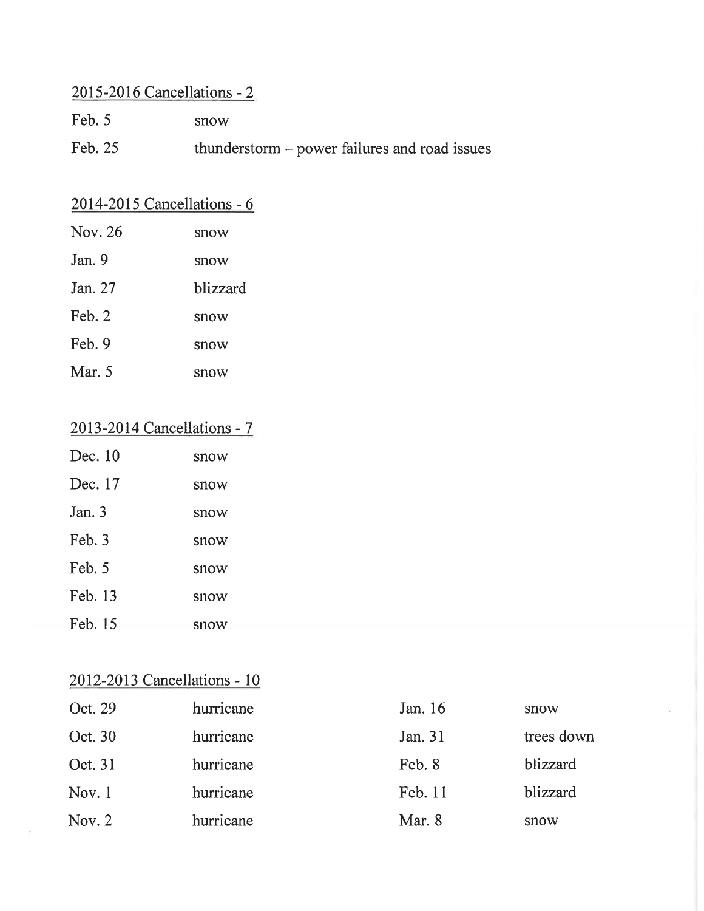# 2015-2016 Cancellations - 2

- Feb.  $5$ snow
- Feb. 25 thunderstorm - power failures and road issues

# 2014-2015 Cancellations - 6

| Nov. 26 | snow     |
|---------|----------|
| Jan. 9  | snow     |
| Jan. 27 | blizzard |
| Feb. 2  | snow     |
| Feb. 9  | snow     |
| Mar. 5  | snow     |

# 2013-2014 Cancellations - 7

| Dec. 10  | snow |
|----------|------|
| Dec. 17  | snow |
| Jan. $3$ | snow |
| Feb. 3   | snow |
| Feb. 5   | snow |
| Feb. 13  | snow |
| Feb. 15  | snow |

# 2012-2013 Cancellations - 10

| Oct. 29  | hurricane | Jan. 16 | snow       |
|----------|-----------|---------|------------|
| Oct. 30  | hurricane | Jan. 31 | trees down |
| Oct. 31  | hurricane | Feb. 8  | blizzard   |
| Nov. $1$ | hurricane | Feb. 11 | blizzard   |
| Nov. $2$ | hurricane | Mar. 8  | snow       |